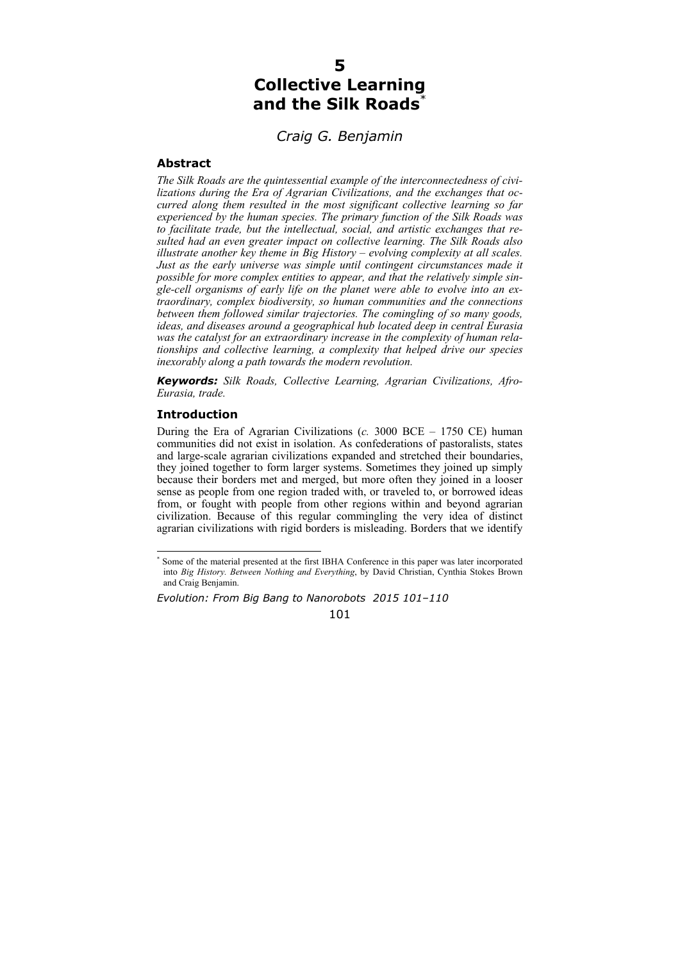# **5 Collective Learning and the Silk Roads**\*

# *Craig G. Benjamin*

## **Abstract**

*The Silk Roads are the quintessential example of the interconnectedness of civilizations during the Era of Agrarian Civilizations, and the exchanges that occurred along them resulted in the most significant collective learning so far experienced by the human species. The primary function of the Silk Roads was to facilitate trade, but the intellectual, social, and artistic exchanges that resulted had an even greater impact on collective learning. The Silk Roads also illustrate another key theme in Big History – evolving complexity at all scales. Just as the early universe was simple until contingent circumstances made it possible for more complex entities to appear, and that the relatively simple single-cell organisms of early life on the planet were able to evolve into an extraordinary, complex biodiversity, so human communities and the connections between them followed similar trajectories. The comingling of so many goods, ideas, and diseases around a geographical hub located deep in central Eurasia was the catalyst for an extraordinary increase in the complexity of human relationships and collective learning, a complexity that helped drive our species inexorably along a path towards the modern revolution.* 

*Keywords: Silk Roads, Collective Learning, Agrarian Civilizations, Afro-Eurasia, trade.* 

### **Introduction**

 $\overline{a}$ 

During the Era of Agrarian Civilizations (*c.* 3000 BCE – 1750 CE) human communities did not exist in isolation. As confederations of pastoralists, states and large-scale agrarian civilizations expanded and stretched their boundaries, they joined together to form larger systems. Sometimes they joined up simply because their borders met and merged, but more often they joined in a looser sense as people from one region traded with, or traveled to, or borrowed ideas from, or fought with people from other regions within and beyond agrarian civilization. Because of this regular commingling the very idea of distinct agrarian civilizations with rigid borders is misleading. Borders that we identify

101

<sup>\*</sup> Some of the material presented at the first IBHA Conference in this paper was later incorporated into *Big History. Between Nothing and Everything*, by David Christian, Cynthia Stokes Brown and Craig Benjamin.

*Evolution: From Big Bang to Nanorobots 2015 101–110*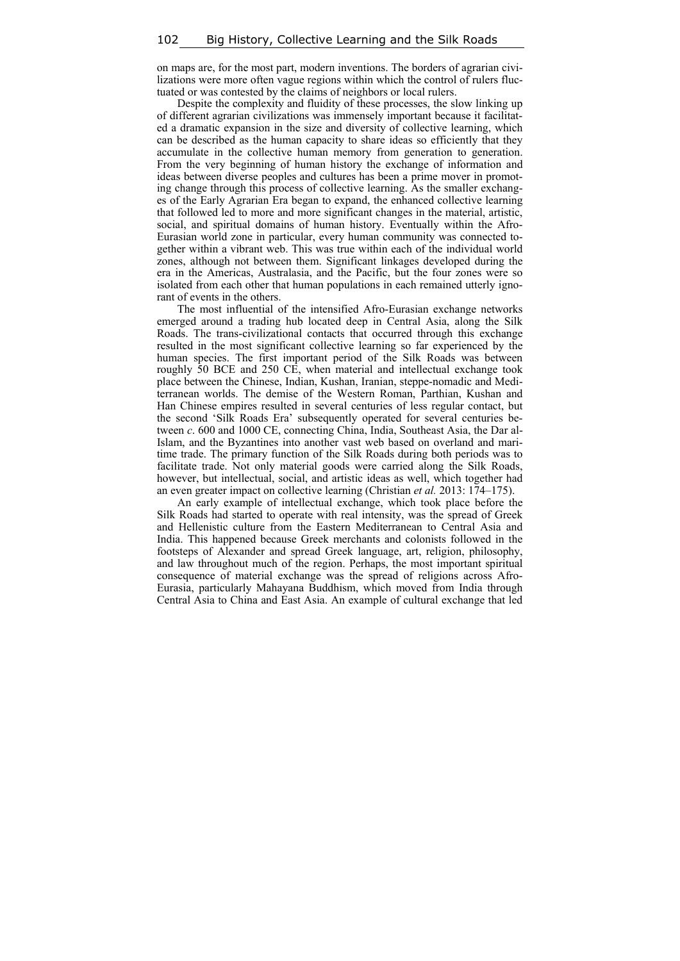on maps are, for the most part, modern inventions. The borders of agrarian civilizations were more often vague regions within which the control of rulers fluctuated or was contested by the claims of neighbors or local rulers.

Despite the complexity and fluidity of these processes, the slow linking up of different agrarian civilizations was immensely important because it facilitated a dramatic expansion in the size and diversity of collective learning, which can be described as the human capacity to share ideas so efficiently that they accumulate in the collective human memory from generation to generation. From the very beginning of human history the exchange of information and ideas between diverse peoples and cultures has been a prime mover in promoting change through this process of collective learning. As the smaller exchanges of the Early Agrarian Era began to expand, the enhanced collective learning that followed led to more and more significant changes in the material, artistic, social, and spiritual domains of human history. Eventually within the Afro-Eurasian world zone in particular, every human community was connected together within a vibrant web. This was true within each of the individual world zones, although not between them. Significant linkages developed during the era in the Americas, Australasia, and the Pacific, but the four zones were so isolated from each other that human populations in each remained utterly ignorant of events in the others.

The most influential of the intensified Afro-Eurasian exchange networks emerged around a trading hub located deep in Central Asia, along the Silk Roads. The trans-civilizational contacts that occurred through this exchange resulted in the most significant collective learning so far experienced by the human species. The first important period of the Silk Roads was between roughly 50 BCE and 250 CE, when material and intellectual exchange took place between the Chinese, Indian, Kushan, Iranian, steppe-nomadic and Mediterranean worlds. The demise of the Western Roman, Parthian, Kushan and Han Chinese empires resulted in several centuries of less regular contact, but the second 'Silk Roads Era' subsequently operated for several centuries between *c*. 600 and 1000 CE, connecting China, India, Southeast Asia, the Dar al-Islam, and the Byzantines into another vast web based on overland and maritime trade. The primary function of the Silk Roads during both periods was to facilitate trade. Not only material goods were carried along the Silk Roads, however, but intellectual, social, and artistic ideas as well, which together had an even greater impact on collective learning (Christian *et al.* 2013: 174–175).

An early example of intellectual exchange, which took place before the Silk Roads had started to operate with real intensity, was the spread of Greek and Hellenistic culture from the Eastern Mediterranean to Central Asia and India. This happened because Greek merchants and colonists followed in the footsteps of Alexander and spread Greek language, art, religion, philosophy, and law throughout much of the region. Perhaps, the most important spiritual consequence of material exchange was the spread of religions across Afro-Eurasia, particularly Mahayana Buddhism, which moved from India through Central Asia to China and East Asia. An example of cultural exchange that led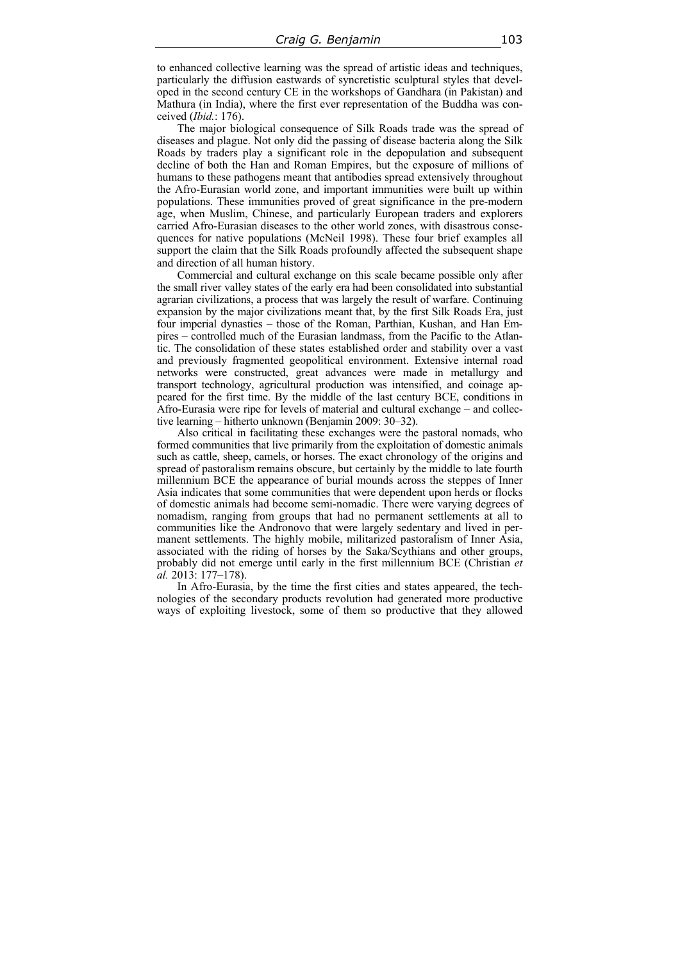to enhanced collective learning was the spread of artistic ideas and techniques, particularly the diffusion eastwards of syncretistic sculptural styles that developed in the second century CE in the workshops of Gandhara (in Pakistan) and Mathura (in India), where the first ever representation of the Buddha was conceived (*Ibid.*: 176).

The major biological consequence of Silk Roads trade was the spread of diseases and plague. Not only did the passing of disease bacteria along the Silk Roads by traders play a significant role in the depopulation and subsequent decline of both the Han and Roman Empires, but the exposure of millions of humans to these pathogens meant that antibodies spread extensively throughout the Afro-Eurasian world zone, and important immunities were built up within populations. These immunities proved of great significance in the pre-modern age, when Muslim, Chinese, and particularly European traders and explorers carried Afro-Eurasian diseases to the other world zones, with disastrous consequences for native populations (McNeil 1998). These four brief examples all support the claim that the Silk Roads profoundly affected the subsequent shape and direction of all human history.

Commercial and cultural exchange on this scale became possible only after the small river valley states of the early era had been consolidated into substantial agrarian civilizations, a process that was largely the result of warfare. Continuing expansion by the major civilizations meant that, by the first Silk Roads Era, just four imperial dynasties – those of the Roman, Parthian, Kushan, and Han Empires – controlled much of the Eurasian landmass, from the Pacific to the Atlantic. The consolidation of these states established order and stability over a vast and previously fragmented geopolitical environment. Extensive internal road networks were constructed, great advances were made in metallurgy and transport technology, agricultural production was intensified, and coinage appeared for the first time. By the middle of the last century BCE, conditions in Afro-Eurasia were ripe for levels of material and cultural exchange – and collective learning – hitherto unknown (Benjamin 2009: 30–32).

Also critical in facilitating these exchanges were the pastoral nomads, who formed communities that live primarily from the exploitation of domestic animals such as cattle, sheep, camels, or horses. The exact chronology of the origins and spread of pastoralism remains obscure, but certainly by the middle to late fourth millennium BCE the appearance of burial mounds across the steppes of Inner Asia indicates that some communities that were dependent upon herds or flocks of domestic animals had become semi-nomadic. There were varying degrees of nomadism, ranging from groups that had no permanent settlements at all to communities like the Andronovo that were largely sedentary and lived in permanent settlements. The highly mobile, militarized pastoralism of Inner Asia, associated with the riding of horses by the Saka/Scythians and other groups, probably did not emerge until early in the first millennium BCE (Christian *et al.* 2013: 177–178).

In Afro-Eurasia, by the time the first cities and states appeared, the technologies of the secondary products revolution had generated more productive ways of exploiting livestock, some of them so productive that they allowed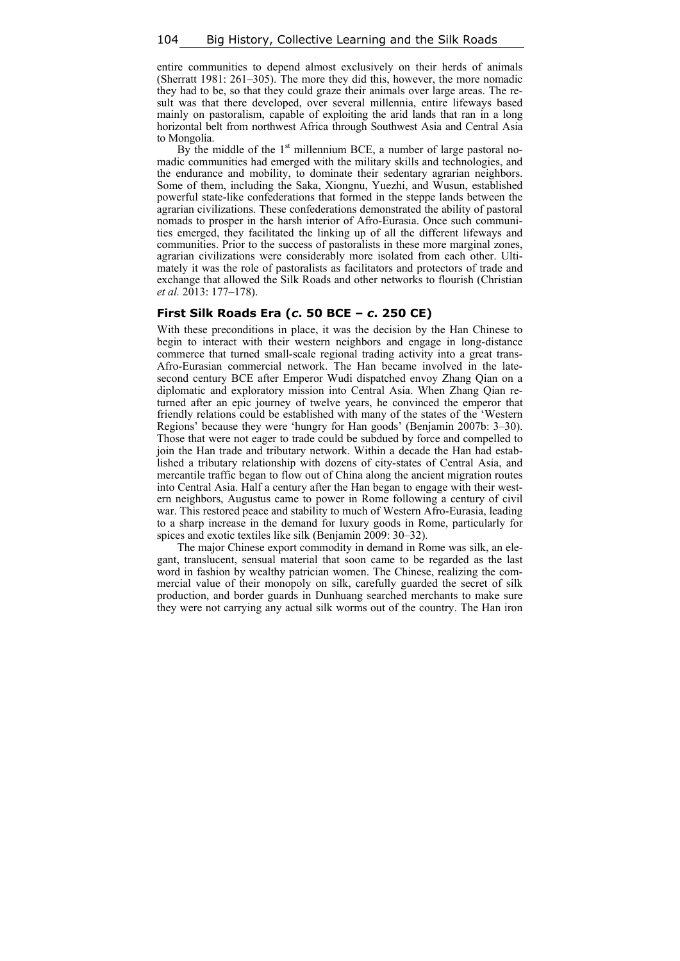entire communities to depend almost exclusively on their herds of animals (Sherratt 1981: 261–305). The more they did this, however, the more nomadic they had to be, so that they could graze their animals over large areas. The result was that there developed, over several millennia, entire lifeways based mainly on pastoralism, capable of exploiting the arid lands that ran in a long horizontal belt from northwest Africa through Southwest Asia and Central Asia to Mongolia.

By the middle of the  $1<sup>st</sup>$  millennium BCE, a number of large pastoral nomadic communities had emerged with the military skills and technologies, and the endurance and mobility, to dominate their sedentary agrarian neighbors. Some of them, including the Saka, Xiongnu, Yuezhi, and Wusun, established powerful state-like confederations that formed in the steppe lands between the agrarian civilizations. These confederations demonstrated the ability of pastoral nomads to prosper in the harsh interior of Afro-Eurasia. Once such communities emerged, they facilitated the linking up of all the different lifeways and communities. Prior to the success of pastoralists in these more marginal zones, agrarian civilizations were considerably more isolated from each other. Ultimately it was the role of pastoralists as facilitators and protectors of trade and exchange that allowed the Silk Roads and other networks to flourish (Christian *et al.* 2013: 177–178).

#### **First Silk Roads Era (***c***. 50 BCE –** *c***. 250 CE)**

With these preconditions in place, it was the decision by the Han Chinese to begin to interact with their western neighbors and engage in long-distance commerce that turned small-scale regional trading activity into a great trans-Afro-Eurasian commercial network. The Han became involved in the latesecond century BCE after Emperor Wudi dispatched envoy Zhang Qian on a diplomatic and exploratory mission into Central Asia. When Zhang Qian returned after an epic journey of twelve years, he convinced the emperor that friendly relations could be established with many of the states of the 'Western Regions' because they were 'hungry for Han goods' (Benjamin 2007b: 3–30). Those that were not eager to trade could be subdued by force and compelled to join the Han trade and tributary network. Within a decade the Han had established a tributary relationship with dozens of city-states of Central Asia, and mercantile traffic began to flow out of China along the ancient migration routes into Central Asia. Half a century after the Han began to engage with their western neighbors, Augustus came to power in Rome following a century of civil war. This restored peace and stability to much of Western Afro-Eurasia, leading to a sharp increase in the demand for luxury goods in Rome, particularly for spices and exotic textiles like silk (Benjamin 2009: 30–32).

The major Chinese export commodity in demand in Rome was silk, an elegant, translucent, sensual material that soon came to be regarded as the last word in fashion by wealthy patrician women. The Chinese, realizing the commercial value of their monopoly on silk, carefully guarded the secret of silk production, and border guards in Dunhuang searched merchants to make sure they were not carrying any actual silk worms out of the country. The Han iron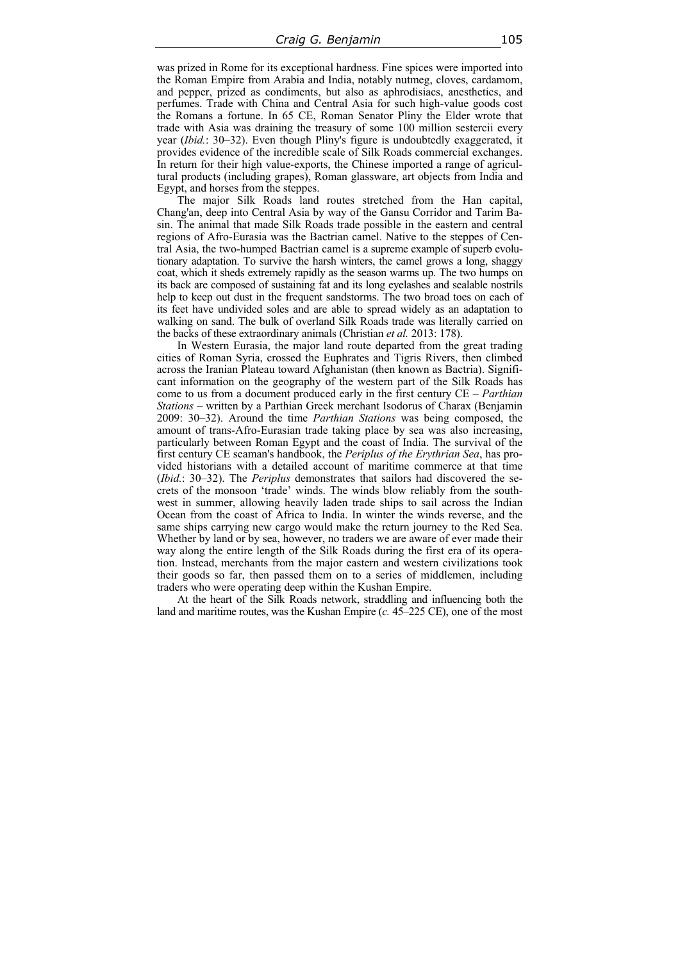was prized in Rome for its exceptional hardness. Fine spices were imported into the Roman Empire from Arabia and India, notably nutmeg, cloves, cardamom, and pepper, prized as condiments, but also as aphrodisiacs, anesthetics, and perfumes. Trade with China and Central Asia for such high-value goods cost the Romans a fortune. In 65 CE, Roman Senator Pliny the Elder wrote that trade with Asia was draining the treasury of some 100 million sestercii every year (*Ibid.*: 30–32). Even though Pliny's figure is undoubtedly exaggerated, it provides evidence of the incredible scale of Silk Roads commercial exchanges. In return for their high value-exports, the Chinese imported a range of agricultural products (including grapes), Roman glassware, art objects from India and Egypt, and horses from the steppes.

The major Silk Roads land routes stretched from the Han capital, Chang'an, deep into Central Asia by way of the Gansu Corridor and Tarim Basin. The animal that made Silk Roads trade possible in the eastern and central regions of Afro-Eurasia was the Bactrian camel. Native to the steppes of Central Asia, the two-humped Bactrian camel is a supreme example of superb evolutionary adaptation. To survive the harsh winters, the camel grows a long, shaggy coat, which it sheds extremely rapidly as the season warms up. The two humps on its back are composed of sustaining fat and its long eyelashes and sealable nostrils help to keep out dust in the frequent sandstorms. The two broad toes on each of its feet have undivided soles and are able to spread widely as an adaptation to walking on sand. The bulk of overland Silk Roads trade was literally carried on the backs of these extraordinary animals (Christian *et al.* 2013: 178).

In Western Eurasia, the major land route departed from the great trading cities of Roman Syria, crossed the Euphrates and Tigris Rivers, then climbed across the Iranian Plateau toward Afghanistan (then known as Bactria). Significant information on the geography of the western part of the Silk Roads has come to us from a document produced early in the first century CE – *Parthian Stations* – written by a Parthian Greek merchant Isodorus of Charax (Benjamin 2009: 30–32). Around the time *Parthian Stations* was being composed, the amount of trans-Afro-Eurasian trade taking place by sea was also increasing, particularly between Roman Egypt and the coast of India. The survival of the first century CE seaman's handbook, the *Periplus of the Erythrian Sea*, has provided historians with a detailed account of maritime commerce at that time (*Ibid.*: 30–32). The *Periplus* demonstrates that sailors had discovered the secrets of the monsoon 'trade' winds. The winds blow reliably from the southwest in summer, allowing heavily laden trade ships to sail across the Indian Ocean from the coast of Africa to India. In winter the winds reverse, and the same ships carrying new cargo would make the return journey to the Red Sea. Whether by land or by sea, however, no traders we are aware of ever made their way along the entire length of the Silk Roads during the first era of its operation. Instead, merchants from the major eastern and western civilizations took their goods so far, then passed them on to a series of middlemen, including traders who were operating deep within the Kushan Empire.

At the heart of the Silk Roads network, straddling and influencing both the land and maritime routes, was the Kushan Empire (*c.* 45–225 CE), one of the most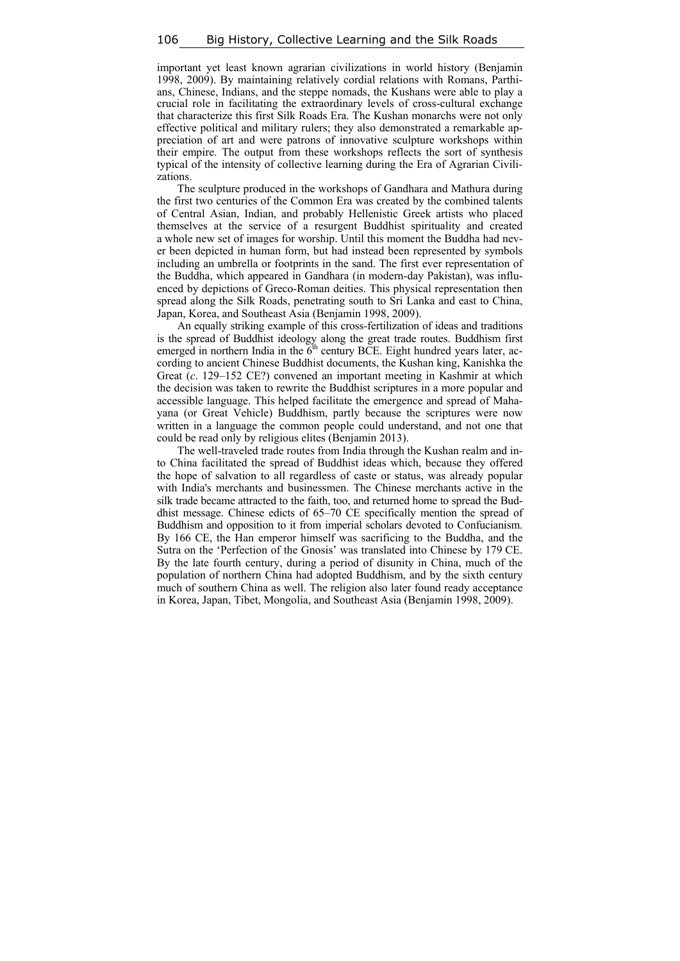important yet least known agrarian civilizations in world history (Benjamin 1998, 2009). By maintaining relatively cordial relations with Romans, Parthians, Chinese, Indians, and the steppe nomads, the Kushans were able to play a crucial role in facilitating the extraordinary levels of cross-cultural exchange that characterize this first Silk Roads Era. The Kushan monarchs were not only effective political and military rulers; they also demonstrated a remarkable appreciation of art and were patrons of innovative sculpture workshops within their empire. The output from these workshops reflects the sort of synthesis typical of the intensity of collective learning during the Era of Agrarian Civilizations.

The sculpture produced in the workshops of Gandhara and Mathura during the first two centuries of the Common Era was created by the combined talents of Central Asian, Indian, and probably Hellenistic Greek artists who placed themselves at the service of a resurgent Buddhist spirituality and created a whole new set of images for worship. Until this moment the Buddha had never been depicted in human form, but had instead been represented by symbols including an umbrella or footprints in the sand. The first ever representation of the Buddha, which appeared in Gandhara (in modern-day Pakistan), was influenced by depictions of Greco-Roman deities. This physical representation then spread along the Silk Roads, penetrating south to Sri Lanka and east to China, Japan, Korea, and Southeast Asia (Benjamin 1998, 2009).

An equally striking example of this cross-fertilization of ideas and traditions is the spread of Buddhist ideology along the great trade routes. Buddhism first emerged in northern India in the  $\vec{6}$ <sup>th</sup> century BCE. Eight hundred years later, according to ancient Chinese Buddhist documents, the Kushan king, Kanishka the Great (*c*. 129–152 CE?) convened an important meeting in Kashmir at which the decision was taken to rewrite the Buddhist scriptures in a more popular and accessible language. This helped facilitate the emergence and spread of Mahayana (or Great Vehicle) Buddhism, partly because the scriptures were now written in a language the common people could understand, and not one that could be read only by religious elites (Benjamin 2013).

The well-traveled trade routes from India through the Kushan realm and into China facilitated the spread of Buddhist ideas which, because they offered the hope of salvation to all regardless of caste or status, was already popular with India's merchants and businessmen. The Chinese merchants active in the silk trade became attracted to the faith, too, and returned home to spread the Buddhist message. Chinese edicts of 65–70 CE specifically mention the spread of Buddhism and opposition to it from imperial scholars devoted to Confucianism. By 166 CE, the Han emperor himself was sacrificing to the Buddha, and the Sutra on the 'Perfection of the Gnosis' was translated into Chinese by 179 CE. By the late fourth century, during a period of disunity in China, much of the population of northern China had adopted Buddhism, and by the sixth century much of southern China as well. The religion also later found ready acceptance in Korea, Japan, Tibet, Mongolia, and Southeast Asia (Benjamin 1998, 2009).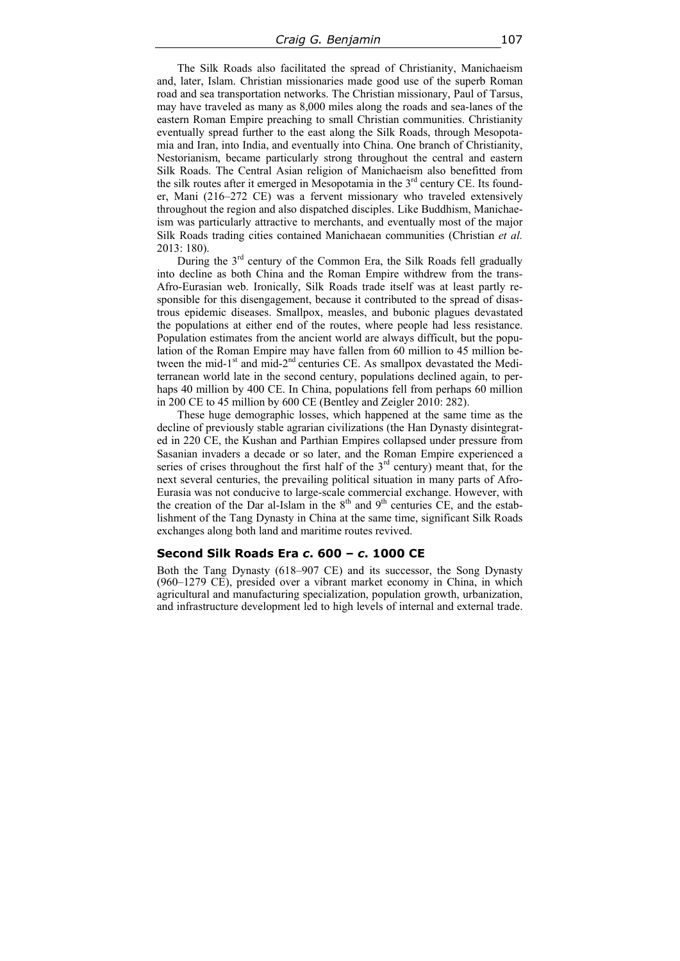The Silk Roads also facilitated the spread of Christianity, Manichaeism and, later, Islam. Christian missionaries made good use of the superb Roman road and sea transportation networks. The Christian missionary, Paul of Tarsus, may have traveled as many as 8,000 miles along the roads and sea-lanes of the eastern Roman Empire preaching to small Christian communities. Christianity eventually spread further to the east along the Silk Roads, through Mesopotamia and Iran, into India, and eventually into China. One branch of Christianity, Nestorianism, became particularly strong throughout the central and eastern Silk Roads. The Central Asian religion of Manichaeism also benefitted from the silk routes after it emerged in Mesopotamia in the 3<sup>rd</sup> century CE. Its founder, Mani (216–272 CE) was a fervent missionary who traveled extensively throughout the region and also dispatched disciples. Like Buddhism, Manichaeism was particularly attractive to merchants, and eventually most of the major Silk Roads trading cities contained Manichaean communities (Christian *et al.* 2013: 180).

During the  $3<sup>rd</sup>$  century of the Common Era, the Silk Roads fell gradually into decline as both China and the Roman Empire withdrew from the trans-Afro-Eurasian web. Ironically, Silk Roads trade itself was at least partly responsible for this disengagement, because it contributed to the spread of disastrous epidemic diseases. Smallpox, measles, and bubonic plagues devastated the populations at either end of the routes, where people had less resistance. Population estimates from the ancient world are always difficult, but the population of the Roman Empire may have fallen from 60 million to 45 million between the mid-1<sup>st</sup> and mid-2<sup>nd</sup> centuries CE. As smallpox devastated the Mediterranean world late in the second century, populations declined again, to perhaps 40 million by 400 CE. In China, populations fell from perhaps 60 million in 200 CE to 45 million by 600 CE (Bentley and Zeigler 2010: 282).

These huge demographic losses, which happened at the same time as the decline of previously stable agrarian civilizations (the Han Dynasty disintegrated in 220 CE, the Kushan and Parthian Empires collapsed under pressure from Sasanian invaders a decade or so later, and the Roman Empire experienced a series of crises throughout the first half of the  $3<sup>rd</sup>$  century) meant that, for the next several centuries, the prevailing political situation in many parts of Afro-Eurasia was not conducive to large-scale commercial exchange. However, with the creation of the Dar al-Islam in the  $8<sup>th</sup>$  and  $9<sup>th</sup>$  centuries CE, and the establishment of the Tang Dynasty in China at the same time, significant Silk Roads exchanges along both land and maritime routes revived.

#### **Second Silk Roads Era** *c***. 600 –** *c***. 1000 CE**

Both the Tang Dynasty (618–907 CE) and its successor, the Song Dynasty (960–1279 CE), presided over a vibrant market economy in China, in which agricultural and manufacturing specialization, population growth, urbanization, and infrastructure development led to high levels of internal and external trade.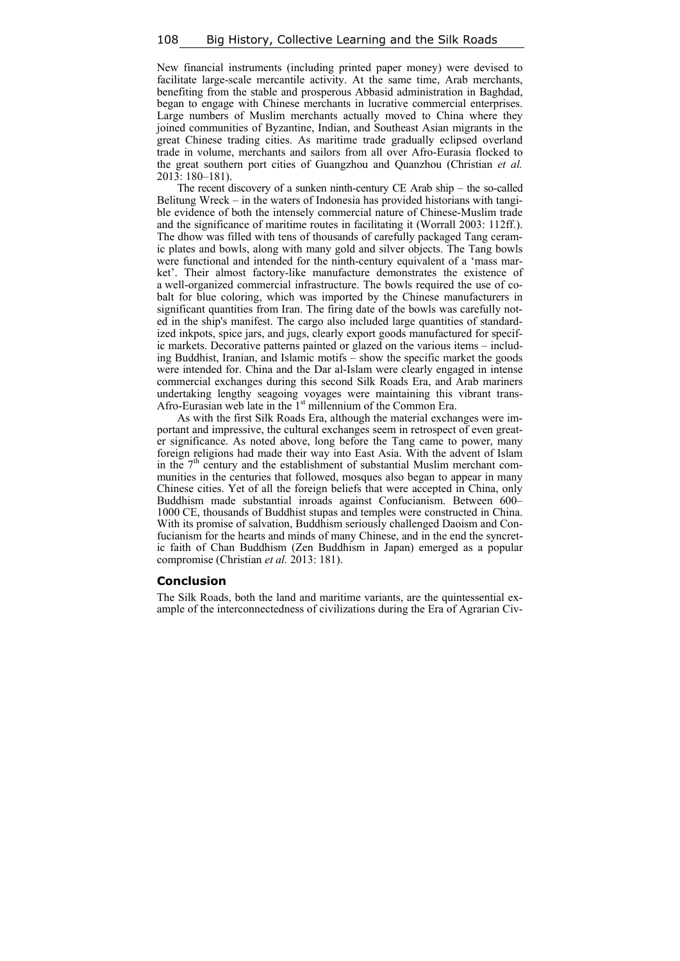New financial instruments (including printed paper money) were devised to facilitate large-scale mercantile activity. At the same time, Arab merchants, benefiting from the stable and prosperous Abbasid administration in Baghdad, began to engage with Chinese merchants in lucrative commercial enterprises. Large numbers of Muslim merchants actually moved to China where they joined communities of Byzantine, Indian, and Southeast Asian migrants in the great Chinese trading cities. As maritime trade gradually eclipsed overland trade in volume, merchants and sailors from all over Afro-Eurasia flocked to the great southern port cities of Guangzhou and Quanzhou (Christian *et al.* 2013: 180–181).

The recent discovery of a sunken ninth-century CE Arab ship – the so-called Belitung Wreck – in the waters of Indonesia has provided historians with tangible evidence of both the intensely commercial nature of Chinese-Muslim trade and the significance of maritime routes in facilitating it (Worrall 2003: 112ff.). The dhow was filled with tens of thousands of carefully packaged Tang ceramic plates and bowls, along with many gold and silver objects. The Tang bowls were functional and intended for the ninth-century equivalent of a 'mass market'. Their almost factory-like manufacture demonstrates the existence of a well-organized commercial infrastructure. The bowls required the use of cobalt for blue coloring, which was imported by the Chinese manufacturers in significant quantities from Iran. The firing date of the bowls was carefully noted in the ship's manifest. The cargo also included large quantities of standardized inkpots, spice jars, and jugs, clearly export goods manufactured for specific markets. Decorative patterns painted or glazed on the various items – including Buddhist, Iranian, and Islamic motifs – show the specific market the goods were intended for. China and the Dar al-Islam were clearly engaged in intense commercial exchanges during this second Silk Roads Era, and Arab mariners undertaking lengthy seagoing voyages were maintaining this vibrant trans-Afro-Eurasian web late in the  $1<sup>st</sup>$  millennium of the Common Era.

As with the first Silk Roads Era, although the material exchanges were important and impressive, the cultural exchanges seem in retrospect of even greater significance. As noted above, long before the Tang came to power, many foreign religions had made their way into East Asia. With the advent of Islam in the  $7<sup>th</sup>$  century and the establishment of substantial Muslim merchant communities in the centuries that followed, mosques also began to appear in many Chinese cities. Yet of all the foreign beliefs that were accepted in China, only Buddhism made substantial inroads against Confucianism. Between 600– 1000 CE, thousands of Buddhist stupas and temples were constructed in China. With its promise of salvation, Buddhism seriously challenged Daoism and Confucianism for the hearts and minds of many Chinese, and in the end the syncretic faith of Chan Buddhism (Zen Buddhism in Japan) emerged as a popular compromise (Christian *et al.* 2013: 181).

#### **Conclusion**

The Silk Roads, both the land and maritime variants, are the quintessential example of the interconnectedness of civilizations during the Era of Agrarian Civ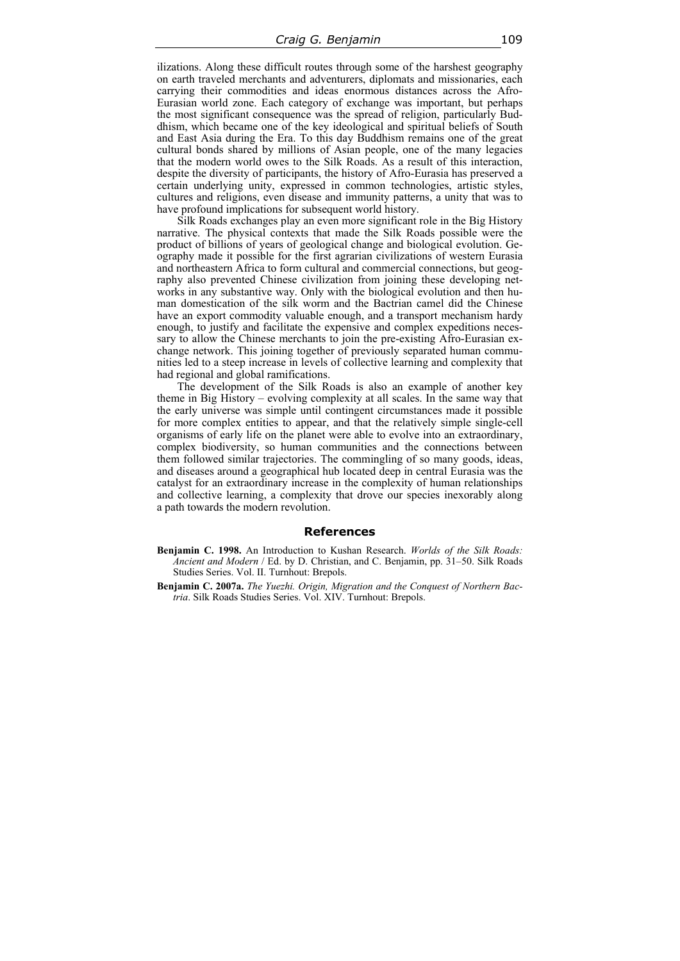ilizations. Along these difficult routes through some of the harshest geography on earth traveled merchants and adventurers, diplomats and missionaries, each carrying their commodities and ideas enormous distances across the Afro-Eurasian world zone. Each category of exchange was important, but perhaps the most significant consequence was the spread of religion, particularly Buddhism, which became one of the key ideological and spiritual beliefs of South and East Asia during the Era. To this day Buddhism remains one of the great cultural bonds shared by millions of Asian people, one of the many legacies that the modern world owes to the Silk Roads. As a result of this interaction, despite the diversity of participants, the history of Afro-Eurasia has preserved a certain underlying unity, expressed in common technologies, artistic styles, cultures and religions, even disease and immunity patterns, a unity that was to have profound implications for subsequent world history.

Silk Roads exchanges play an even more significant role in the Big History narrative. The physical contexts that made the Silk Roads possible were the product of billions of years of geological change and biological evolution. Geography made it possible for the first agrarian civilizations of western Eurasia and northeastern Africa to form cultural and commercial connections, but geography also prevented Chinese civilization from joining these developing networks in any substantive way. Only with the biological evolution and then human domestication of the silk worm and the Bactrian camel did the Chinese have an export commodity valuable enough, and a transport mechanism hardy enough, to justify and facilitate the expensive and complex expeditions necessary to allow the Chinese merchants to join the pre-existing Afro-Eurasian exchange network. This joining together of previously separated human communities led to a steep increase in levels of collective learning and complexity that had regional and global ramifications.

The development of the Silk Roads is also an example of another key theme in Big History – evolving complexity at all scales. In the same way that the early universe was simple until contingent circumstances made it possible for more complex entities to appear, and that the relatively simple single-cell organisms of early life on the planet were able to evolve into an extraordinary, complex biodiversity, so human communities and the connections between them followed similar trajectories. The commingling of so many goods, ideas, and diseases around a geographical hub located deep in central Eurasia was the catalyst for an extraordinary increase in the complexity of human relationships and collective learning, a complexity that drove our species inexorably along a path towards the modern revolution.

#### **References**

- **Benjamin C. 1998.** An Introduction to Kushan Research. *Worlds of the Silk Roads: Ancient and Modern* / Ed. by D. Christian, and C. Benjamin, pp. 31–50. Silk Roads Studies Series. Vol. II. Turnhout: Brepols.
- **Benjamin C. 2007a.** *The Yuezhi. Origin, Migration and the Conquest of Northern Bactria*. Silk Roads Studies Series. Vol. XIV. Turnhout: Brepols.